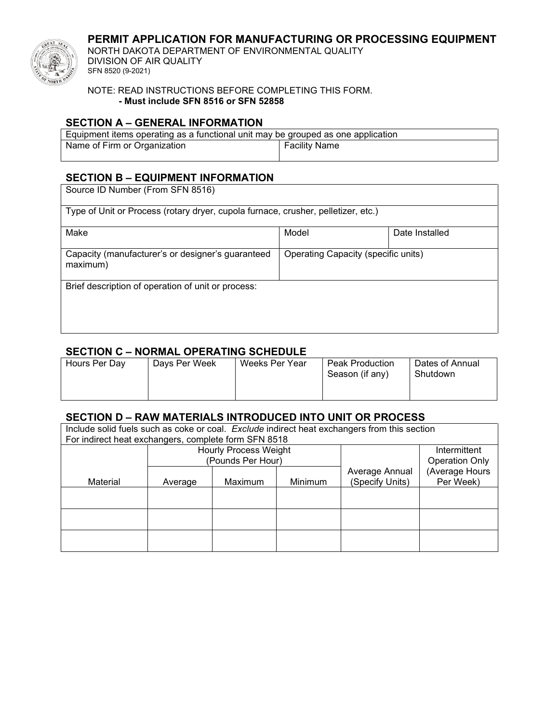## **PERMIT APPLICATION FOR MANUFACTURING OR PROCESSING EQUIPMENT**



NORTH DAKOTA DEPARTMENT OF ENVIRONMENTAL QUALITY DIVISION OF AIR QUALITY SFN 8520 (9-2021)

#### NOTE: READ INSTRUCTIONS BEFORE COMPLETING THIS FORM. **- Must include SFN 8516 or SFN 52858**

# **SECTION A – GENERAL INFORMATION**

| Equipment items operating as a functional unit may be grouped as one application |                      |  |  |
|----------------------------------------------------------------------------------|----------------------|--|--|
| Name of Firm or Organization                                                     | <b>Facility Name</b> |  |  |

## **SECTION B – EQUIPMENT INFORMATION**

| Source ID Number (From SFN 8516)                                                                     |       |                |  |  |  |
|------------------------------------------------------------------------------------------------------|-------|----------------|--|--|--|
| Type of Unit or Process (rotary dryer, cupola furnace, crusher, pelletizer, etc.)                    |       |                |  |  |  |
| Make                                                                                                 | Model | Date Installed |  |  |  |
| Capacity (manufacturer's or designer's guaranteed<br>Operating Capacity (specific units)<br>maximum) |       |                |  |  |  |
| Brief description of operation of unit or process:                                                   |       |                |  |  |  |

## **SECTION C – NORMAL OPERATING SCHEDULE**

| Davs Per Week | Weeks Per Year | Peak Production | Dates of Annual |
|---------------|----------------|-----------------|-----------------|
| Hours Per Dav |                | Season (if any) | Shutdown        |

#### **SECTION D – RAW MATERIALS INTRODUCED INTO UNIT OR PROCESS**

| Include solid fuels such as coke or coal. Exclude indirect heat exchangers from this section |         |                              |                |                 |                       |  |
|----------------------------------------------------------------------------------------------|---------|------------------------------|----------------|-----------------|-----------------------|--|
| For indirect heat exchangers, complete form SFN 8518                                         |         |                              |                |                 |                       |  |
|                                                                                              |         | <b>Hourly Process Weight</b> |                |                 | Intermittent          |  |
|                                                                                              |         | (Pounds Per Hour)            |                |                 | <b>Operation Only</b> |  |
|                                                                                              |         |                              | Average Annual | (Average Hours  |                       |  |
| Material                                                                                     | Average | Maximum                      | Minimum        | (Specify Units) | Per Week)             |  |
|                                                                                              |         |                              |                |                 |                       |  |
|                                                                                              |         |                              |                |                 |                       |  |
|                                                                                              |         |                              |                |                 |                       |  |
|                                                                                              |         |                              |                |                 |                       |  |
|                                                                                              |         |                              |                |                 |                       |  |
|                                                                                              |         |                              |                |                 |                       |  |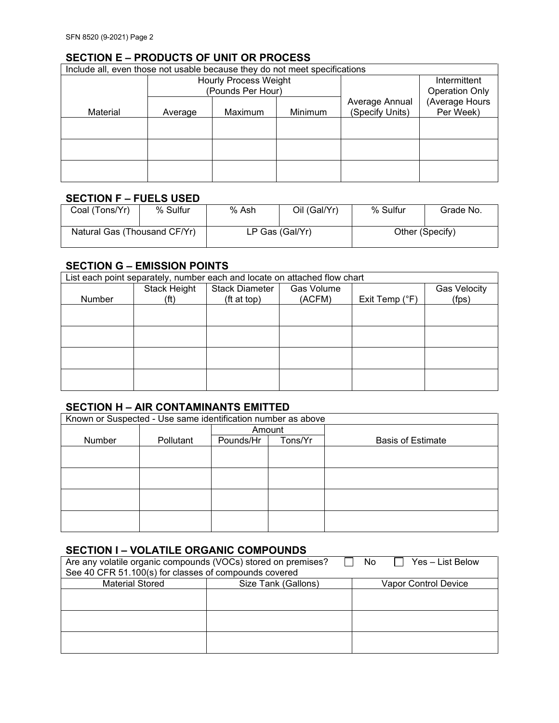# **SECTION E – PRODUCTS OF UNIT OR PROCESS**

| Include all, even those not usable because they do not meet specifications |                                                   |         |         |                 |                                       |
|----------------------------------------------------------------------------|---------------------------------------------------|---------|---------|-----------------|---------------------------------------|
|                                                                            | <b>Hourly Process Weight</b><br>(Pounds Per Hour) |         |         |                 | Intermittent<br><b>Operation Only</b> |
|                                                                            |                                                   |         |         | Average Annual  | (Average Hours                        |
| Material                                                                   | Average                                           | Maximum | Minimum | (Specify Units) | Per Week)                             |
|                                                                            |                                                   |         |         |                 |                                       |
|                                                                            |                                                   |         |         |                 |                                       |
|                                                                            |                                                   |         |         |                 |                                       |
|                                                                            |                                                   |         |         |                 |                                       |
|                                                                            |                                                   |         |         |                 |                                       |
|                                                                            |                                                   |         |         |                 |                                       |

## **SECTION F – FUELS USED**

| Coal (Tons/Yr)               | % Sulfur | % Ash | Oil (Gal/Yr)    | % Sulfur | Grade No.       |
|------------------------------|----------|-------|-----------------|----------|-----------------|
| Natural Gas (Thousand CF/Yr) |          |       | LP Gas (Gal/Yr) |          | Other (Specify) |

#### **SECTION G – EMISSION POINTS**

| List each point separately, number each and locate on attached flow chart |              |                       |            |                  |                     |
|---------------------------------------------------------------------------|--------------|-----------------------|------------|------------------|---------------------|
|                                                                           | Stack Height | <b>Stack Diameter</b> | Gas Volume |                  | <b>Gas Velocity</b> |
| Number                                                                    | (ft)         | (ft at top)           | (ACFM)     | Exit Temp $(°F)$ | (fps)               |
|                                                                           |              |                       |            |                  |                     |
|                                                                           |              |                       |            |                  |                     |
|                                                                           |              |                       |            |                  |                     |
|                                                                           |              |                       |            |                  |                     |
|                                                                           |              |                       |            |                  |                     |
|                                                                           |              |                       |            |                  |                     |
|                                                                           |              |                       |            |                  |                     |
|                                                                           |              |                       |            |                  |                     |

#### **SECTION H – AIR CONTAMINANTS EMITTED**

| Known or Suspected - Use same identification number as above |           |           |         |                          |  |  |
|--------------------------------------------------------------|-----------|-----------|---------|--------------------------|--|--|
|                                                              |           |           | Amount  |                          |  |  |
| Number                                                       | Pollutant | Pounds/Hr | Tons/Yr | <b>Basis of Estimate</b> |  |  |
|                                                              |           |           |         |                          |  |  |
|                                                              |           |           |         |                          |  |  |
|                                                              |           |           |         |                          |  |  |
|                                                              |           |           |         |                          |  |  |
|                                                              |           |           |         |                          |  |  |
|                                                              |           |           |         |                          |  |  |
|                                                              |           |           |         |                          |  |  |
|                                                              |           |           |         |                          |  |  |

## **SECTION I – VOLATILE ORGANIC COMPOUNDS**

| Are any volatile organic compounds (VOCs) stored on premises?<br>No.<br>Yes – List Below |                     |                      |  |  |  |  |
|------------------------------------------------------------------------------------------|---------------------|----------------------|--|--|--|--|
| See 40 CFR 51.100(s) for classes of compounds covered                                    |                     |                      |  |  |  |  |
| <b>Material Stored</b>                                                                   | Size Tank (Gallons) | Vapor Control Device |  |  |  |  |
|                                                                                          |                     |                      |  |  |  |  |
|                                                                                          |                     |                      |  |  |  |  |
|                                                                                          |                     |                      |  |  |  |  |
|                                                                                          |                     |                      |  |  |  |  |
|                                                                                          |                     |                      |  |  |  |  |
|                                                                                          |                     |                      |  |  |  |  |